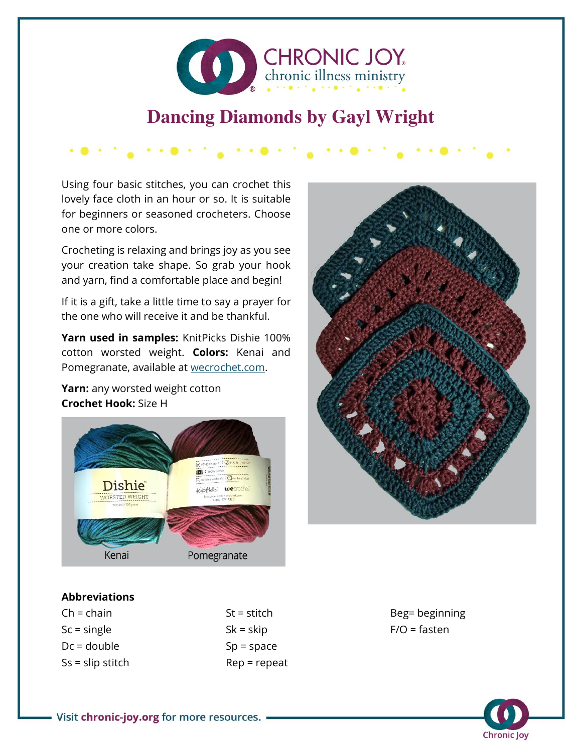

## **Dancing Diamonds by Gayl Wright**

 $\bullet\hspace{0.1cm}\bullet\hspace{0.1cm}\bullet\hspace{0.1cm}\bullet\hspace{0.1cm}\bullet\hspace{0.1cm}\bullet$ 

Using four basic stitches, you can crochet this lovely face cloth in an hour or so. It is suitable for beginners or seasoned crocheters. Choose one or more colors.

\* @ \* \*\* @ \* \* @ \* \* \*

Crocheting is relaxing and brings joy as you see your creation take shape. So grab your hook and yarn, find a comfortable place and begin!

If it is a gift, take a little time to say a prayer for the one who will receive it and be thankful.

**Yarn used in samples:** KnitPicks Dishie 100% cotton worsted weight. **Colors:** Kenai and Pomegranate, available at [wecrochet.com.](https://wecrochet.com/)

**Yarn:** any worsted weight cotton **Crochet Hook:** Size H





## **Abbreviations**

| $Ch = chain$       |
|--------------------|
| $Sc = single$      |
| $Dc = double$      |
| $Ss = slip$ stitch |

St = stitch  $Sk = skip$  $Sp = space$ Rep = repeat Beg= beginning  $F/O =$  fasten